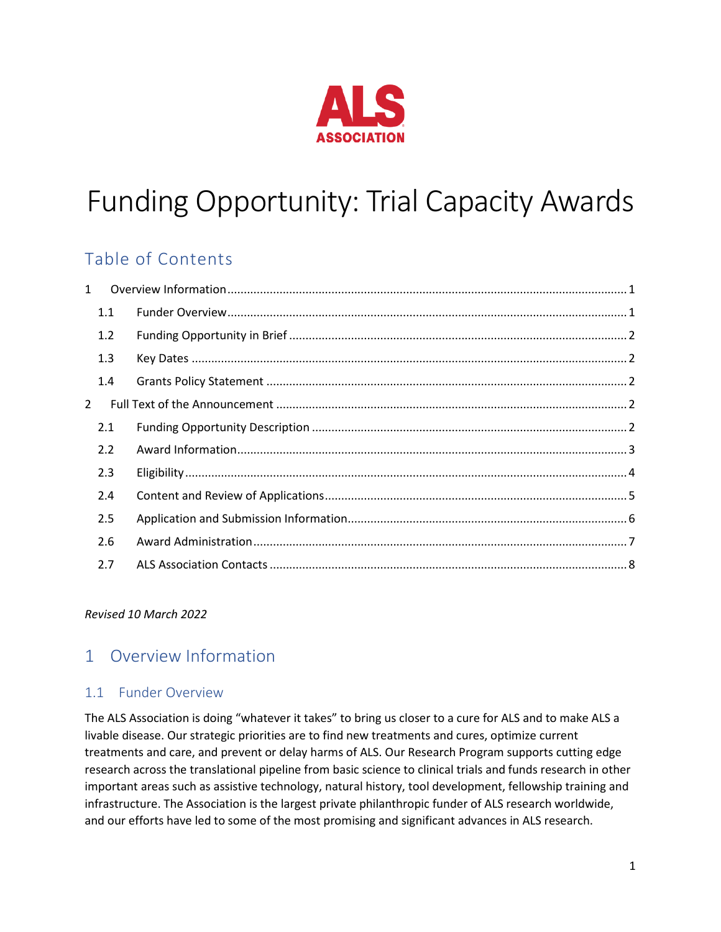

# Funding Opportunity: Trial Capacity Awards

# Table of Contents

| $\mathbf{1}$   |  |
|----------------|--|
| 1.1            |  |
| 1.2            |  |
| 1.3            |  |
| 1.4            |  |
| $\overline{2}$ |  |
| 2.1            |  |
| 2.2            |  |
| 2.3            |  |
| 2.4            |  |
| 2.5            |  |
| 2.6            |  |
| 2.7            |  |

#### *Revised 10 March 2022*

# <span id="page-0-0"></span>1 Overview Information

# <span id="page-0-1"></span>1.1 Funder Overview

The ALS Association is doing "whatever it takes" to bring us closer to a cure for ALS and to make ALS a livable disease. Our strategic priorities are to find new treatments and cures, optimize current treatments and care, and prevent or delay harms of ALS. Our Research Program supports cutting edge research across the translational pipeline from basic science to clinical trials and funds research in other important areas such as assistive technology, natural history, tool development, fellowship training and infrastructure. The Association is the largest private philanthropic funder of ALS research worldwide, and our efforts have led to some of the most promising and significant advances in ALS research.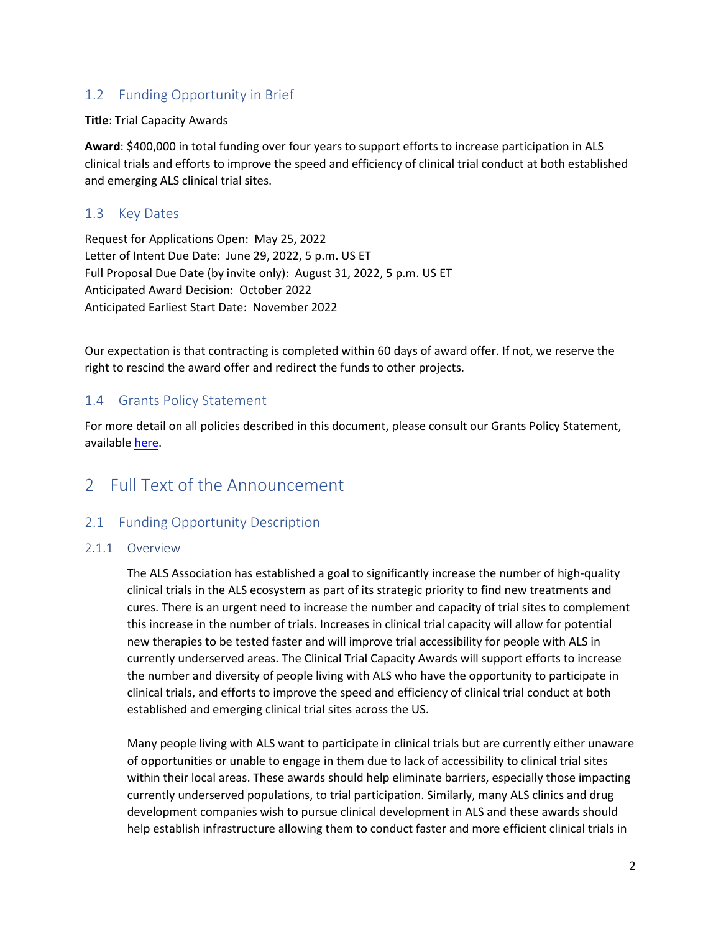# <span id="page-1-0"></span>1.2 Funding Opportunity in Brief

**Title**: Trial Capacity Awards

**Award**: \$400,000 in total funding over four years to support efforts to increase participation in ALS clinical trials and efforts to improve the speed and efficiency of clinical trial conduct at both established and emerging ALS clinical trial sites.

# <span id="page-1-1"></span>1.3 Key Dates

Request for Applications Open: May 25, 2022 Letter of Intent Due Date: June 29, 2022, 5 p.m. US ET Full Proposal Due Date (by invite only): August 31, 2022, 5 p.m. US ET Anticipated Award Decision: October 2022 Anticipated Earliest Start Date: November 2022

Our expectation is that contracting is completed within 60 days of award offer. If not, we reserve the right to rescind the award offer and redirect the funds to other projects.

# <span id="page-1-2"></span>1.4 Grants Policy Statement

For more detail on all policies described in this document, please consult our Grants Policy Statement, available [here.](https://als.org/Grants-Policy-Statement)

# <span id="page-1-3"></span>2 Full Text of the Announcement

# <span id="page-1-4"></span>2.1 Funding Opportunity Description

#### 2.1.1 Overview

The ALS Association has established a goal to significantly increase the number of high-quality clinical trials in the ALS ecosystem as part of its strategic priority to find new treatments and cures. There is an urgent need to increase the number and capacity of trial sites to complement this increase in the number of trials. Increases in clinical trial capacity will allow for potential new therapies to be tested faster and will improve trial accessibility for people with ALS in currently underserved areas. The Clinical Trial Capacity Awards will support efforts to increase the number and diversity of people living with ALS who have the opportunity to participate in clinical trials, and efforts to improve the speed and efficiency of clinical trial conduct at both established and emerging clinical trial sites across the US.

Many people living with ALS want to participate in clinical trials but are currently either unaware of opportunities or unable to engage in them due to lack of accessibility to clinical trial sites within their local areas. These awards should help eliminate barriers, especially those impacting currently underserved populations, to trial participation. Similarly, many ALS clinics and drug development companies wish to pursue clinical development in ALS and these awards should help establish infrastructure allowing them to conduct faster and more efficient clinical trials in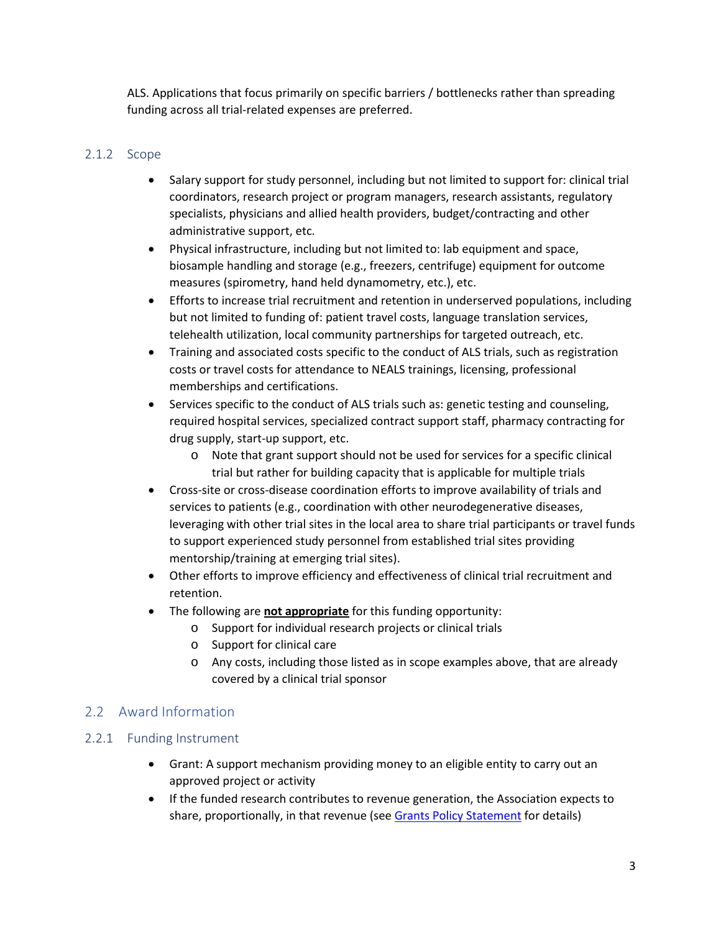ALS. Applications that focus primarily on specific barriers / bottlenecks rather than spreading funding across all trial-related expenses are preferred.

## 2.1.2 Scope

- Salary support for study personnel, including but not limited to support for: clinical trial coordinators, research project or program managers, research assistants, regulatory specialists, physicians and allied health providers, budget/contracting and other administrative support, etc.
- Physical infrastructure, including but not limited to: lab equipment and space, biosample handling and storage (e.g., freezers, centrifuge) equipment for outcome measures (spirometry, hand held dynamometry, etc.), etc.
- Efforts to increase trial recruitment and retention in underserved populations, including but not limited to funding of: patient travel costs, language translation services, telehealth utilization, local community partnerships for targeted outreach, etc.
- Training and associated costs specific to the conduct of ALS trials, such as registration costs or travel costs for attendance to NEALS trainings, licensing, professional memberships and certifications.
- Services specific to the conduct of ALS trials such as: genetic testing and counseling, required hospital services, specialized contract support staff, pharmacy contracting for drug supply, start-up support, etc.
	- o Note that grant support should not be used for services for a specific clinical trial but rather for building capacity that is applicable for multiple trials
- Cross-site or cross-disease coordination efforts to improve availability of trials and services to patients (e.g., coordination with other neurodegenerative diseases, leveraging with other trial sites in the local area to share trial participants or travel funds to support experienced study personnel from established trial sites providing mentorship/training at emerging trial sites).
- Other efforts to improve efficiency and effectiveness of clinical trial recruitment and retention.
- The following are **not appropriate** for this funding opportunity:
	- o Support for individual research projects or clinical trials
	- o Support for clinical care
	- o Any costs, including those listed as in scope examples above, that are already covered by a clinical trial sponsor

# <span id="page-2-0"></span>2.2 Award Information

# 2.2.1 Funding Instrument

- Grant: A support mechanism providing money to an eligible entity to carry out an approved project or activity
- If the funded research contributes to revenue generation, the Association expects to share, proportionally, in that revenue (see [Grants Policy Statement](#page-1-2) for details)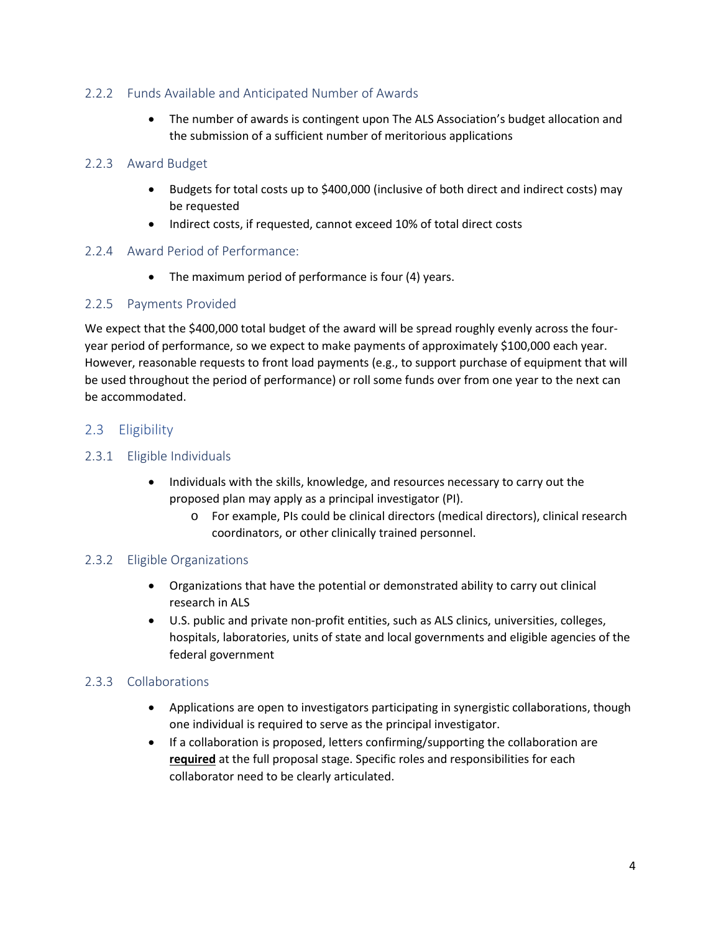## 2.2.2 Funds Available and Anticipated Number of Awards

• The number of awards is contingent upon The ALS Association's budget allocation and the submission of a sufficient number of meritorious applications

#### 2.2.3 Award Budget

- Budgets for total costs up to \$400,000 (inclusive of both direct and indirect costs) may be requested
- Indirect costs, if requested, cannot exceed 10% of total direct costs

#### 2.2.4 Award Period of Performance:

• The maximum period of performance is four (4) years.

#### 2.2.5 Payments Provided

We expect that the \$400,000 total budget of the award will be spread roughly evenly across the fouryear period of performance, so we expect to make payments of approximately \$100,000 each year. However, reasonable requests to front load payments (e.g., to support purchase of equipment that will be used throughout the period of performance) or roll some funds over from one year to the next can be accommodated.

#### <span id="page-3-0"></span>2.3 Eligibility

#### 2.3.1 Eligible Individuals

- Individuals with the skills, knowledge, and resources necessary to carry out the proposed plan may apply as a principal investigator (PI).
	- o For example, PIs could be clinical directors (medical directors), clinical research coordinators, or other clinically trained personnel.

#### 2.3.2 Eligible Organizations

- Organizations that have the potential or demonstrated ability to carry out clinical research in ALS
- U.S. public and private non-profit entities, such as ALS clinics, universities, colleges, hospitals, laboratories, units of state and local governments and eligible agencies of the federal government

# 2.3.3 Collaborations

- Applications are open to investigators participating in synergistic collaborations, though one individual is required to serve as the principal investigator.
- If a collaboration is proposed, letters confirming/supporting the collaboration are **required** at the full proposal stage. Specific roles and responsibilities for each collaborator need to be clearly articulated.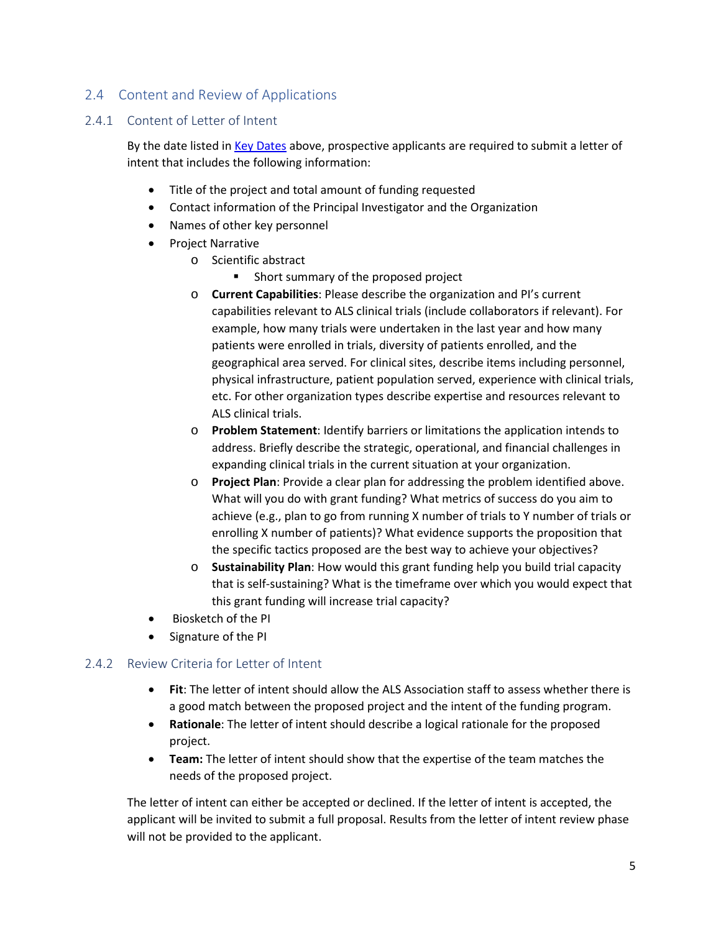# <span id="page-4-0"></span>2.4 Content and Review of Applications

#### 2.4.1 Content of Letter of Intent

By the date listed in [Key Dates](#page-1-1) above, prospective applicants are required to submit a letter of intent that includes the following information:

- Title of the project and total amount of funding requested
- Contact information of the Principal Investigator and the Organization
- Names of other key personnel
- Project Narrative
	- o Scientific abstract
		- **Short summary of the proposed project**
	- o **Current Capabilities**: Please describe the organization and PI's current capabilities relevant to ALS clinical trials (include collaborators if relevant). For example, how many trials were undertaken in the last year and how many patients were enrolled in trials, diversity of patients enrolled, and the geographical area served. For clinical sites, describe items including personnel, physical infrastructure, patient population served, experience with clinical trials, etc. For other organization types describe expertise and resources relevant to ALS clinical trials.
	- o **Problem Statement**: Identify barriers or limitations the application intends to address. Briefly describe the strategic, operational, and financial challenges in expanding clinical trials in the current situation at your organization.
	- o **Project Plan**: Provide a clear plan for addressing the problem identified above. What will you do with grant funding? What metrics of success do you aim to achieve (e.g., plan to go from running X number of trials to Y number of trials or enrolling X number of patients)? What evidence supports the proposition that the specific tactics proposed are the best way to achieve your objectives?
	- o **Sustainability Plan**: How would this grant funding help you build trial capacity that is self-sustaining? What is the timeframe over which you would expect that this grant funding will increase trial capacity?
- Biosketch of the PI
- Signature of the PI

# 2.4.2 Review Criteria for Letter of Intent

- **Fit**: The letter of intent should allow the ALS Association staff to assess whether there is a good match between the proposed project and the intent of the funding program.
- **Rationale**: The letter of intent should describe a logical rationale for the proposed project.
- **Team:** The letter of intent should show that the expertise of the team matches the needs of the proposed project.

The letter of intent can either be accepted or declined. If the letter of intent is accepted, the applicant will be invited to submit a full proposal. Results from the letter of intent review phase will not be provided to the applicant.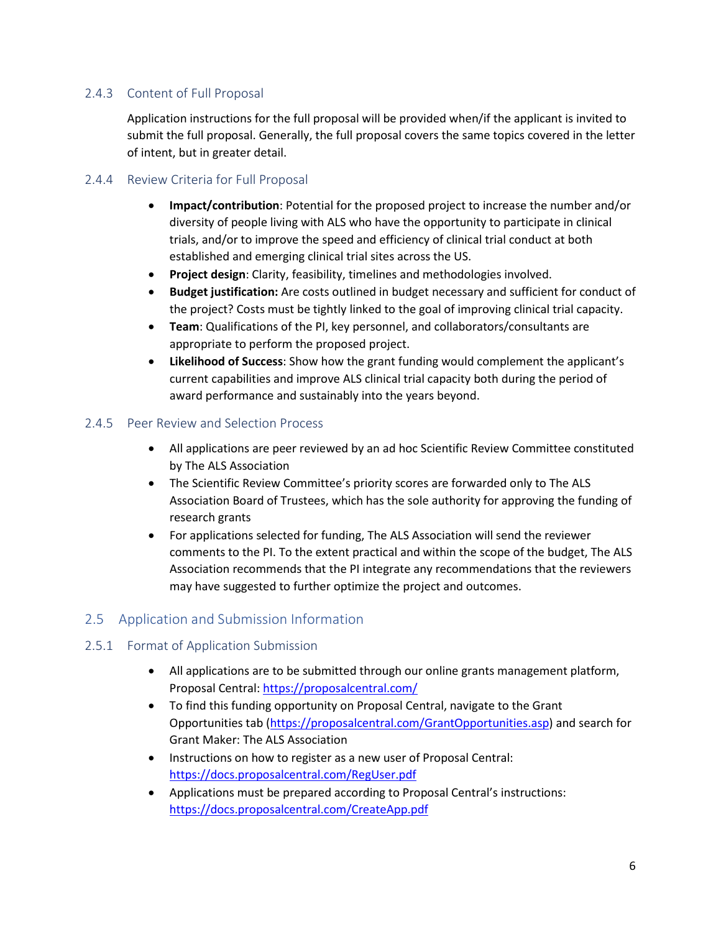# 2.4.3 Content of Full Proposal

Application instructions for the full proposal will be provided when/if the applicant is invited to submit the full proposal. Generally, the full proposal covers the same topics covered in the letter of intent, but in greater detail.

#### 2.4.4 Review Criteria for Full Proposal

- **Impact/contribution**: Potential for the proposed project to increase the number and/or diversity of people living with ALS who have the opportunity to participate in clinical trials, and/or to improve the speed and efficiency of clinical trial conduct at both established and emerging clinical trial sites across the US.
- **Project design**: Clarity, feasibility, timelines and methodologies involved.
- **Budget justification:** Are costs outlined in budget necessary and sufficient for conduct of the project? Costs must be tightly linked to the goal of improving clinical trial capacity.
- **Team**: Qualifications of the PI, key personnel, and collaborators/consultants are appropriate to perform the proposed project.
- **Likelihood of Success**: Show how the grant funding would complement the applicant's current capabilities and improve ALS clinical trial capacity both during the period of award performance and sustainably into the years beyond.

#### 2.4.5 Peer Review and Selection Process

- All applications are peer reviewed by an ad hoc Scientific Review Committee constituted by The ALS Association
- The Scientific Review Committee's priority scores are forwarded only to The ALS Association Board of Trustees, which has the sole authority for approving the funding of research grants
- For applications selected for funding, The ALS Association will send the reviewer comments to the PI. To the extent practical and within the scope of the budget, The ALS Association recommends that the PI integrate any recommendations that the reviewers may have suggested to further optimize the project and outcomes.

# <span id="page-5-0"></span>2.5 Application and Submission Information

#### 2.5.1 Format of Application Submission

- All applications are to be submitted through our online grants management platform, Proposal Central:<https://proposalcentral.com/>
- To find this funding opportunity on Proposal Central, navigate to the Grant Opportunities tab [\(https://proposalcentral.com/GrantOpportunities.asp\)](https://proposalcentral.com/GrantOpportunities.asp) and search for Grant Maker: The ALS Association
- Instructions on how to register as a new user of Proposal Central: <https://docs.proposalcentral.com/RegUser.pdf>
- Applications must be prepared according to Proposal Central's instructions: <https://docs.proposalcentral.com/CreateApp.pdf>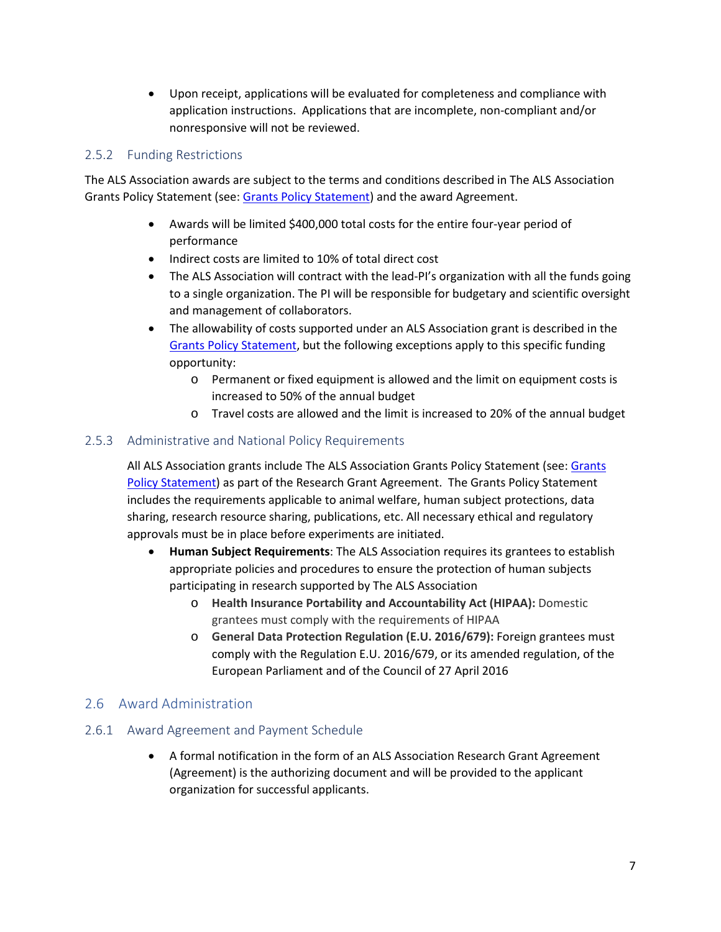• Upon receipt, applications will be evaluated for completeness and compliance with application instructions. Applications that are incomplete, non-compliant and/or nonresponsive will not be reviewed.

## 2.5.2 Funding Restrictions

The ALS Association awards are subject to the terms and conditions described in The ALS Association Grants Policy Statement (see: [Grants Policy Statement\)](#page-1-2) and the award Agreement.

- Awards will be limited \$400,000 total costs for the entire four-year period of performance
- Indirect costs are limited to 10% of total direct cost
- The ALS Association will contract with the lead-PI's organization with all the funds going to a single organization. The PI will be responsible for budgetary and scientific oversight and management of collaborators.
- The allowability of costs supported under an ALS Association grant is described in the [Grants Policy Statement,](#page-1-2) but the following exceptions apply to this specific funding opportunity:
	- o Permanent or fixed equipment is allowed and the limit on equipment costs is increased to 50% of the annual budget
	- o Travel costs are allowed and the limit is increased to 20% of the annual budget

#### 2.5.3 Administrative and National Policy Requirements

All ALS Association grants include The ALS Association Grants Policy Statement (see: [Grants](#page-1-2)  [Policy Statement\)](#page-1-2) as part of the Research Grant Agreement. The Grants Policy Statement includes the requirements applicable to animal welfare, human subject protections, data sharing, research resource sharing, publications, etc. All necessary ethical and regulatory approvals must be in place before experiments are initiated.

- **Human Subject Requirements**: The ALS Association requires its grantees to establish appropriate policies and procedures to ensure the protection of human subjects participating in research supported by The ALS Association
	- o **Health Insurance Portability and Accountability Act (HIPAA):** Domestic grantees must comply with the requirements of HIPAA
	- o **General Data Protection Regulation (E.U. 2016/679):** Foreign grantees must comply with the Regulation E.U. 2016/679, or its amended regulation, of the European Parliament and of the Council of 27 April 2016

# <span id="page-6-0"></span>2.6 Award Administration

#### 2.6.1 Award Agreement and Payment Schedule

• A formal notification in the form of an ALS Association Research Grant Agreement (Agreement) is the authorizing document and will be provided to the applicant organization for successful applicants.